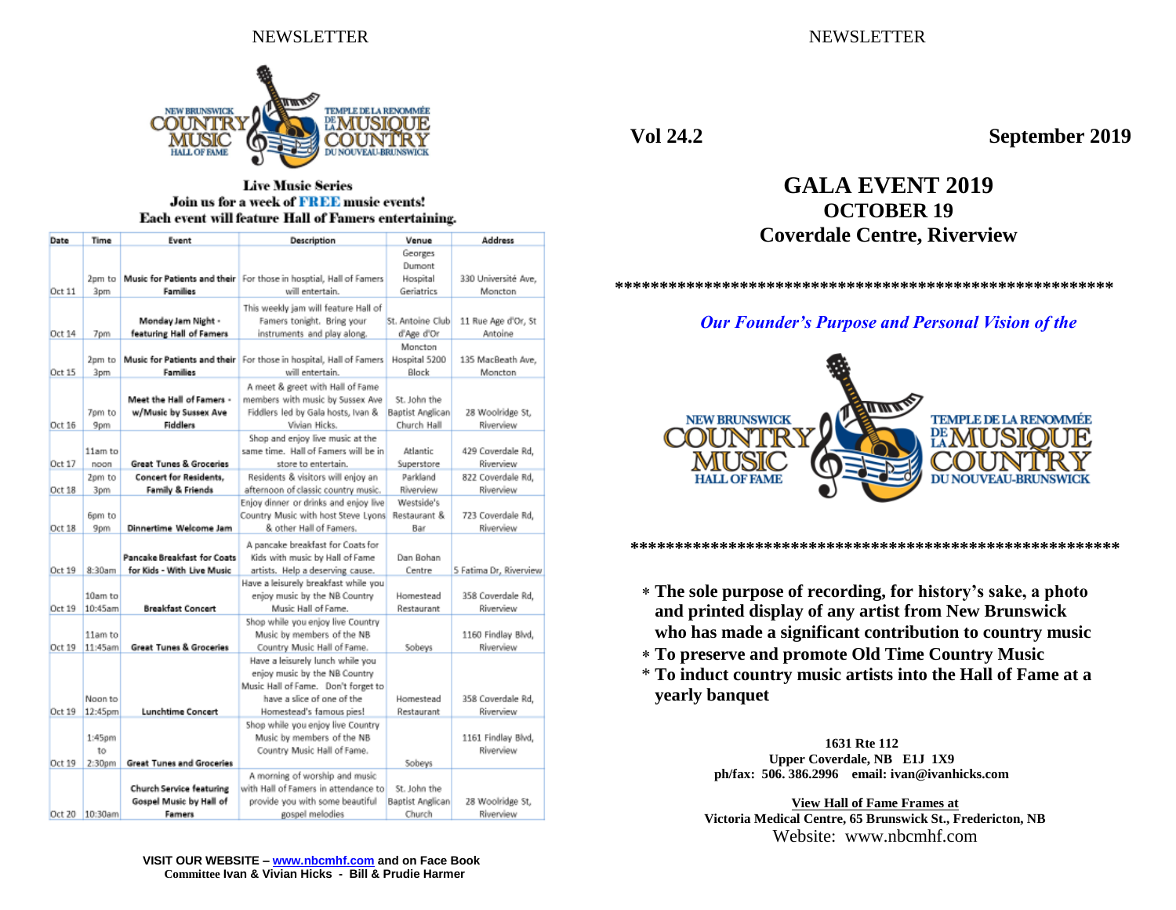

### **Live Music Series** Join us for a week of FREE music events! Each event will feature Hall of Famers entertaining.

| Date   | Time    | Event                              | Description                                                        | Venue            | <b>Address</b>         |
|--------|---------|------------------------------------|--------------------------------------------------------------------|------------------|------------------------|
|        |         |                                    |                                                                    | Georges          |                        |
|        |         |                                    |                                                                    | Dumont           |                        |
|        | 2pm to  |                                    | Music for Patients and their For those in hosptial, Hall of Famers | Hospital         | 330 Université Ave,    |
| Oct 11 | 3pm     | Families                           | will entertain.                                                    | Geriatrics       | Moncton                |
|        |         |                                    | This weekly jam will feature Hall of                               |                  |                        |
|        |         | Monday Jam Night -                 | Famers tonight. Bring your                                         | St. Antoine Club | 11 Rue Age d'Or, St    |
| Oct 14 | 7pm     | featuring Hall of Famers           | instruments and play along.                                        | d'Age d'Or       | Antoine                |
|        |         |                                    |                                                                    | Moncton          |                        |
|        | 2pm to  | Music for Patients and their       | For those in hospital, Hall of Famers                              | Hospital 5200    | 135 MacBeath Ave,      |
| Oct 15 | 3pm     | <b>Families</b>                    | will entertain.                                                    | Block            | Moncton                |
|        |         |                                    | A meet & greet with Hall of Fame                                   |                  |                        |
|        |         | Meet the Hall of Famers -          | members with music by Sussex Ave                                   | St. John the     |                        |
|        | 7pm to  | w/Music by Sussex Ave              | Fiddlers led by Gala hosts, Ivan &                                 | Baptist Anglican | 28 Woolridge St.       |
| Oct 16 | 9pm     | <b>Fiddlers</b>                    | Vivian Hicks.                                                      | Church Hall      | Riverview              |
|        |         |                                    | Shop and enjoy live music at the                                   |                  |                        |
|        | 11am to |                                    | same time. Hall of Famers will be in                               | Atlantic         | 429 Coverdale Rd,      |
| Oct 17 | noon    | <b>Great Tunes &amp; Groceries</b> | store to entertain.                                                | Superstore       | Riverview              |
|        | 2pm to  | <b>Concert for Residents,</b>      | Residents & visitors will enjoy an                                 | Parkland         | 822 Coverdale Rd,      |
| Oct 18 | 3pm     | <b>Family &amp; Friends</b>        | afternoon of classic country music.                                | Riverview        | Riverview              |
|        |         |                                    | Enjoy dinner or drinks and enjoy live                              | Westside's       |                        |
|        | 6pm to  |                                    | Country Music with host Steve Lyons                                | Restaurant &     | 723 Coverdale Rd,      |
| Oct 18 | 9pm     | Dinnertime Welcome Jam             | & other Hall of Famers.                                            | Bar              | Riverview              |
|        |         |                                    | A pancake breakfast for Coats for                                  |                  |                        |
|        |         | Pancake Breakfast for Coats        | Kids with music by Hall of Fame                                    | Dan Bohan        |                        |
| Oct 19 | 8:30am  | for Kids - With Live Music         | artists. Help a deserving cause.                                   | Centre           | 5 Fatima Dr. Riverview |
|        |         |                                    | Have a leisurely breakfast while you                               |                  |                        |
|        | 10am to |                                    | enjoy music by the NB Country                                      | Homestead        | 358 Coverdale Rd,      |
| Oct 19 | 10:45am | <b>Breakfast Concert</b>           | Music Hall of Fame.                                                | Restaurant       | Riverview              |
|        |         |                                    | Shop while you enjoy live Country                                  |                  |                        |
|        | 11am to |                                    | Music by members of the NB                                         |                  | 1160 Findlay Blvd,     |
| Oct 19 | 11:45am | <b>Great Tunes &amp; Groceries</b> | Country Music Hall of Fame.                                        | Sobeys           | Riverview              |
|        |         |                                    | Have a leisurely lunch while you                                   |                  |                        |
|        |         |                                    | enjoy music by the NB Country                                      |                  |                        |
|        |         |                                    | Music Hall of Fame. Don't forget to                                |                  |                        |
|        | Noon to |                                    | have a slice of one of the                                         | Homestead        | 358 Coverdale Rd,      |
| Oct 19 | 12:45pm | <b>Lunchtime Concert</b>           | Homestead's famous pies!                                           | Restaurant       | Riverview              |
|        |         |                                    | Shop while you enjoy live Country                                  |                  |                        |
|        | 1:45pm  |                                    | Music by members of the NB                                         |                  | 1161 Findlay Blvd,     |
|        | to      |                                    | Country Music Hall of Fame.                                        |                  | Riverview              |
| Oct 19 | 2:30pm  | <b>Great Tunes and Groceries</b>   |                                                                    | Sobeys           |                        |
|        |         |                                    | A morning of worship and music                                     |                  |                        |
|        |         | Church Service featuring           | with Hall of Famers in attendance to                               | St. John the     |                        |
|        |         | Gospel Music by Hall of            | provide you with some beautiful                                    | Baptist Anglican | 28 Woolridge St.       |
| Oct 20 | 10:30am | Famers                             | gospel melodies                                                    | Church           | Riverview              |

**Vol 24.2 September 2019**

# **GALA EVENT 2019 OCTOBER 19 Coverdale Centre, Riverview**

**\*\*\*\*\*\*\*\*\*\*\*\*\*\*\*\*\*\*\*\*\*\*\*\*\*\*\*\*\*\*\*\*\*\*\*\*\*\*\*\*\*\*\*\*\*\*\*\*\*\*\*\*\*\*\*\***

*Our Founder's Purpose and Personal Vision of the*



**\*\*\*\*\*\*\*\*\*\*\*\*\*\*\*\*\*\*\*\*\*\*\*\*\*\*\*\*\*\*\*\*\*\*\*\*\*\*\*\*\*\*\*\*\*\*\*\*\*\*\*\*\*\*\*** 

- **The sole purpose of recording, for history's sake, a photo and printed display of any artist from New Brunswick who has made a significant contribution to country music**
- **To preserve and promote Old Time Country Music**
- \* **To induct country music artists into the Hall of Fame at a yearly banquet**

**1631 Rte 112 Upper Coverdale, NB E1J 1X9 ph/fax: 506. 386.2996 email: ivan@ivanhicks.com**

**View Hall of Fame Frames at Victoria Medical Centre, 65 Brunswick St., Fredericton, NB** Website: www.nbcmhf.com